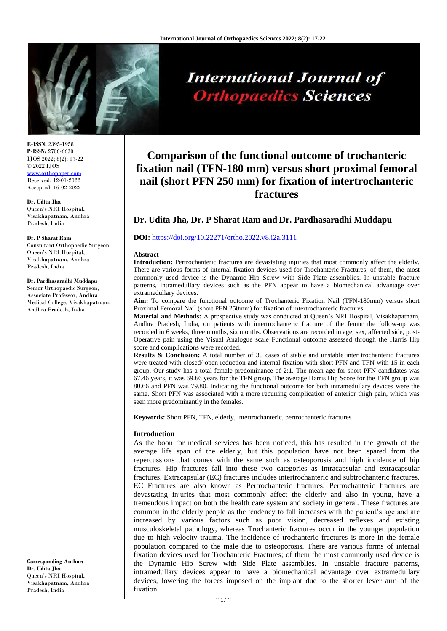

**E-ISSN:** 2395-1958 **P-ISSN:** 2706-6630 IJOS 2022; 8(2): 17-22 © 2022 IJOS [www.orthopaper.com](http://www.orthopaper.com/) Received: 12-01-2022 Accepted: 16-02-2022

**Dr. Udita Jha** Queen's NRI Hospital, Visakhapatnam, Andhra Pradesh, India

#### **Dr. P Sharat Ram**

Consultant Orthopaedic Surgeon, Queen's NRI Hospital, Visakhapatnam, Andhra Pradesh, India

#### **Dr. Pardhasaradhi Muddapu**

Senior Orthopaedic Surgeon, Associate Professor, Andhra Medical College, Visakhapatnam, Andhra Pradesh, India

**Corresponding Author: Dr. Udita Jha** Queen's NRI Hospital, Visakhapatnam, Andhra Pradesh, India

# **International Journal of Orthopaedics Sciences**

# **Comparison of the functional outcome of trochanteric fixation nail (TFN-180 mm) versus short proximal femoral nail (short PFN 250 mm) for fixation of intertrochanteric fractures**

# **Dr. Udita Jha, Dr. P Sharat Ram and Dr. Pardhasaradhi Muddapu**

#### **DOI:** <https://doi.org/10.22271/ortho.2022.v8.i2a.3111>

#### **Abstract**

**Introduction:** Pertrochanteric fractures are devastating injuries that most commonly affect the elderly. There are various forms of internal fixation devices used for Trochanteric Fractures; of them, the most commonly used device is the Dynamic Hip Screw with Side Plate assemblies. In unstable fracture patterns, intramedullary devices such as the PFN appear to have a biomechanical advantage over extramedullary devices.

**Aim:** To compare the functional outcome of Trochanteric Fixation Nail (TFN-180mm) versus short Proximal Femoral Nail (short PFN 250mm) for fixation of intertrochanteric fractures.

**Material and Methods:** A prospective study was conducted at Queen's NRI Hospital, Visakhapatnam, Andhra Pradesh, India, on patients with intertrochanteric fracture of the femur the follow-up was recorded in 6 weeks, three months, six months. Observations are recorded in age, sex, affected side, post-Operative pain using the Visual Analogue scale Functional outcome assessed through the Harris Hip score and complications were recorded.

**Results & Conclusion:** A total number of 30 cases of stable and unstable inter trochanteric fractures were treated with closed/ open reduction and internal fixation with short PFN and TFN with 15 in each group. Our study has a total female predominance of 2:1. The mean age for short PFN candidates was 67.46 years, it was 69.66 years for the TFN group. The average Harris Hip Score for the TFN group was 80.66 and PFN was 79.80. Indicating the functional outcome for both intramedullary devices were the same. Short PFN was associated with a more recurring complication of anterior thigh pain, which was seen more predominantly in the females.

**Keywords:** Short PFN, TFN, elderly, intertrochanteric, pertrochanteric fractures

### **Introduction**

As the boon for medical services has been noticed, this has resulted in the growth of the average life span of the elderly, but this population have not been spared from the repercussions that comes with the same such as osteoporosis and high incidence of hip fractures. Hip fractures fall into these two categories as intracapsular and extracapsular fractures. Extracapsular (EC) fractures includes intertrochanteric and subtrochanteric fractures. EC Fractures are also known as Pertrochanteric fractures. Pertrochanteric fractures are devastating injuries that most commonly affect the elderly and also in young, have a tremendous impact on both the health care system and society in general. These fractures are common in the elderly people as the tendency to fall increases with the patient's age and are increased by various factors such as poor vision, decreased reflexes and existing musculoskeletal pathology, whereas Trochanteric fractures occur in the younger population due to high velocity trauma. The incidence of trochanteric fractures is more in the female population compared to the male due to osteoporosis. There are various forms of internal fixation devices used for Trochanteric Fractures; of them the most commonly used device is the Dynamic Hip Screw with Side Plate assemblies. In unstable fracture patterns, intramedullary devices appear to have a biomechanical advantage over extramedullary devices, lowering the forces imposed on the implant due to the shorter lever arm of the fixation.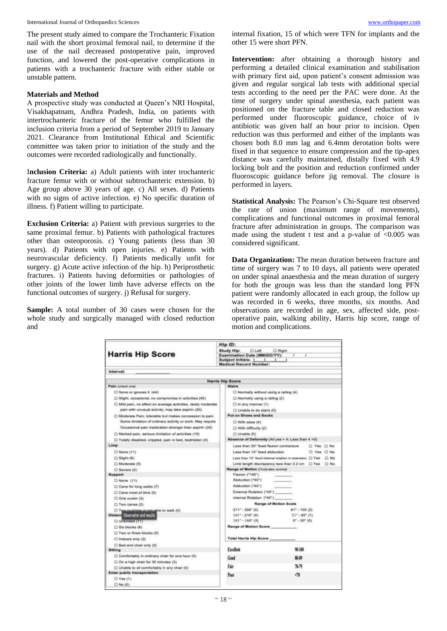International Journal of Orthopaedics Sciences [www.orthopaper.com](http://www.orthopaper.com/)

The present study aimed to compare the Trochanteric Fixation nail with the short proximal femoral nail, to determine if the use of the nail decreased postoperative pain, improved function, and lowered the post-operative complications in patients with a trochanteric fracture with either stable or unstable pattern.

# **Materials and Method**

A prospective study was conducted at Queen's NRI Hospital, Visakhapatnam, Andhra Pradesh, India, on patients with intertrochanteric fracture of the femur who fulfilled the inclusion criteria from a period of September 2019 to January 2021. Clearance from Institutional Ethical and Scientific committee was taken prior to initiation of the study and the outcomes were recorded radiologically and functionally.

I**nclusion Criteria:** a) Adult patients with inter trochanteric fracture femur with or without subtrochanteric extension. b) Age group above 30 years of age. c) All sexes. d) Patients with no signs of active infection. e) No specific duration of illness. f) Patient willing to participate.

**Exclusion Criteria:** a) Patient with previous surgeries to the same proximal femur. b) Patients with pathological fractures other than osteoporosis. c) Young patients (less than 30 years). d) Patients with open injuries. e) Patients with neurovascular deficiency. f) Patients medically unfit for surgery. g) Acute active infection of the hip. h) Periprosthetic fractures. i) Patients having deformities or pathologies of other joints of the lower limb have adverse effects on the functional outcomes of surgery. j) Refusal for surgery.

**Sample:** A total number of 30 cases were chosen for the whole study and surgically managed with closed reduction and

internal fixation, 15 of which were TFN for implants and the other 15 were short PFN.

**Intervention:** after obtaining a thorough history and performing a detailed clinical examination and stabilisation with primary first aid, upon patient's consent admission was given and regular surgical lab tests with additional special tests according to the need per the PAC were done. At the time of surgery under spinal anesthesia, each patient was positioned on the fracture table and closed reduction was performed under fluoroscopic guidance, choice of iv antibiotic was given half an hour prior to incision. Open reduction was thus performed and either of the implants was chosen both 8.0 mm lag and 6.4mm derotation bolts were fixed in that sequence to ensure compression and the tip-apex distance was carefully maintained, distally fixed with 4.9 locking bolt and the position and reduction confirmed under fluoroscopic guidance before jig removal. The closure is performed in layers.

**Statistical Analysis:** The Pearson's Chi-Square test observed the rate of union (maximum range of movements), complications and functional outcomes in proximal femoral fracture after administration in groups. The comparison was made using the student t test and a p-value of  $\leq 0.005$  was considered significant.

**Data Organization:** The mean duration between fracture and time of surgery was 7 to 10 days, all patients were operated on under spinal anaesthesia and the mean duration of surgery for both the groups was less than the standard long PFN patient were randomly allocated in each group, the follow up was recorded in 6 weeks, three months, six months. And observations are recorded in age, sex, affected side, postoperative pain, walking ability, Harris hip score, range of motion and complications.

|                                                                              | Hip ID:                                                                                                                              |            |  |  |
|------------------------------------------------------------------------------|--------------------------------------------------------------------------------------------------------------------------------------|------------|--|--|
| <b>Harris Hip Score</b>                                                      | Study Hip:<br><b>CLut</b><br><b>CI Right</b><br>Examination Date (MM/DD/YY):<br>Subject initials: 1<br><b>Medical Record Number:</b> |            |  |  |
| interval:                                                                    |                                                                                                                                      |            |  |  |
|                                                                              | <b>Harris Hip Score</b>                                                                                                              |            |  |  |
| Pain covers one?                                                             | <b>Stairs</b>                                                                                                                        |            |  |  |
| [] None or ignores it (44)                                                   | [3] Normally without using a rading (4).                                                                                             |            |  |  |
| [3 Slight, occasional, no compromise in activities (40).                     | D Normally using a railing (2)                                                                                                       |            |  |  |
| [] Mild picin, no effect on average activities, rarely moderate              | $\square$ in any manner (1)                                                                                                          |            |  |  |
| pain with unusual activity; may take aspirin (30)                            | C) Unable to do stairs (0)                                                                                                           |            |  |  |
| [] Moderate Pain, tolerable but makes concession to pain.                    | <b>Put on Shoes and Bocks</b>                                                                                                        |            |  |  |
| Some limitation of ordinary activity or work. May require                    | O With spac (4)                                                                                                                      |            |  |  |
| Docasional pain medication stronger than aspirin (20)                        | S With difficulty (2)                                                                                                                |            |  |  |
| [] Marked pain, serious limitation of activities (10)                        | D. Unable (0)                                                                                                                        |            |  |  |
| [2] Totally disabled, crippled, pain in bed, bedraden (0).                   | Absence of Deformity (All yes - 4; Less Tran 4 =0)                                                                                   |            |  |  |
| Limp                                                                         | Lees than 30" fixed fixaton contracture<br>D Yes D No                                                                                |            |  |  |
| D None (11)                                                                  | Less than 10° fixed abduction                                                                                                        | □ Yes □ No |  |  |
| (2) Slight (8)                                                               | Less than 10" fixed internal rotation in orderation [ ] Yes<br>□ No                                                                  |            |  |  |
| El Moderate (5)                                                              | Limb length discrepancy less than 3.2 cm [] Yes<br>□ No                                                                              |            |  |  |
| 口 Severa (0)                                                                 | Range of Motion ("industes numed                                                                                                     |            |  |  |
| <b>Buppert</b>                                                               | Fieston (*140°)                                                                                                                      |            |  |  |
| L) Nome (11)                                                                 | Abduction ("40")                                                                                                                     |            |  |  |
| [2] Carve for long walks (7)                                                 | Adduction ("40")                                                                                                                     |            |  |  |
| Cane most of time (5)                                                        | External Rotation (*40*)                                                                                                             |            |  |  |
| C) One snutch (3).                                                           | Internal Rotation (1401)                                                                                                             |            |  |  |
| El Two canes (2)                                                             | <b>Range of Metion Scale</b>                                                                                                         |            |  |  |
| [7] Two-couldbes-oc-soli-able to walk (0)                                    | 211" - 300" (8)<br>$61^{\circ} - 100$ (2)                                                                                            |            |  |  |
| Diatent Observator and results                                               | $161^{\circ}$ - 210° (6)<br>$-31^{\circ} - 60^{\circ}$ (1)                                                                           |            |  |  |
| D. Unlimited (11)                                                            | $101^{\circ} - 160^{\circ}$ (3)<br>$0'' - 30''$ (0)                                                                                  |            |  |  |
| [2] fishe interesting (fit)                                                  | Range of Mation Score                                                                                                                |            |  |  |
| Two or three blocks (5)                                                      |                                                                                                                                      |            |  |  |
| □ Indoors pnly (2)                                                           | <b>Total Harris Hip Score</b>                                                                                                        |            |  |  |
| [3 Bed and chair only (0)                                                    | Excellent                                                                                                                            | 99-100     |  |  |
| <b>Sitting</b>                                                               |                                                                                                                                      |            |  |  |
| [ Comfortably in ordinary chair for one hour (5)                             | Good                                                                                                                                 | 80.89      |  |  |
| [] On a high chair for 30 minutes (3).                                       | Fair                                                                                                                                 | $70 - 79$  |  |  |
| [3 Unable to sit comfortably in any chair (0)<br>Enter public transportation |                                                                                                                                      |            |  |  |
| $\Box$ Yes $\{1\}$                                                           | Poer                                                                                                                                 | đ          |  |  |
| [] No (D)                                                                    |                                                                                                                                      |            |  |  |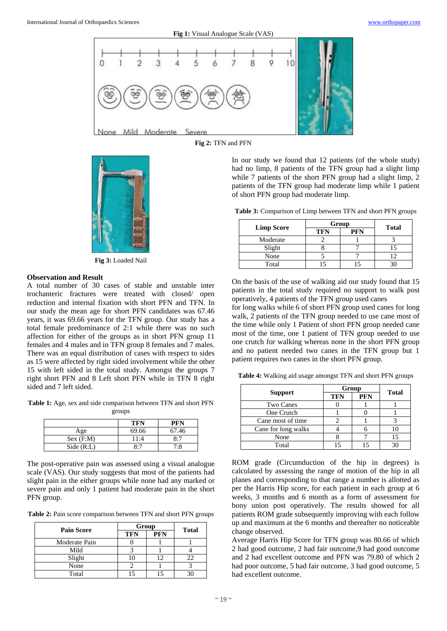

**Fig 2:** TFN and PFN



**Fig 3:** Loaded Nail

#### **Observation and Result**

A total number of 30 cases of stable and unstable inter trochanteric fractures were treated with closed/ open reduction and internal fixation with short PFN and TFN. In our study the mean age for short PFN candidates was 67.46 years, it was 69.66 years for the TFN group. Our study has a total female predominance of 2:1 while there was no such affection for either of the groups as in short PFN group 11 females and 4 males and in TFN group 8 females and 7 males. There was an equal distribution of cases with respect to sides as 15 were affected by right sided involvement while the other 15 with left sided in the total study. Amongst the groups 7 right short PFN and 8 Left short PFN while in TFN 8 right sided and 7 left sided.

**Table 1:** Age, sex and side comparison between TFN and short PFN groups

|           | <b>TFN</b> | <b>PFN</b> |
|-----------|------------|------------|
| Age       | 69.66      | 67.46      |
| Sex(F:M)  | 11:4       | 8:7        |
| Side(R:L) | 8:7        | 7:8        |

The post-operative pain was assessed using a visual analogue scale (VAS). Our study suggests that most of the patients had slight pain in the either groups while none had any marked or severe pain and only 1 patient had moderate pain in the short PFN group.

**Table 2:** Pain score comparison between TFN and short PFN groups

|                   |            | Group      |              |  |
|-------------------|------------|------------|--------------|--|
| <b>Pain Score</b> | <b>TFN</b> | <b>PFN</b> | <b>Total</b> |  |
| Moderate Pain     |            |            |              |  |
| Mild              |            |            |              |  |
| Slight            |            | 12         | 22           |  |
| None              |            |            |              |  |
| Total             |            |            |              |  |

In our study we found that 12 patients (of the whole study) had no limp, 8 patients of the TFN group had a slight limp while 7 patients of the short PFN group had a slight limp, 2 patients of the TFN group had moderate limp while 1 patient of short PFN group had moderate limp.

**Table 3:** Comparison of Limp between TFN and short PFN groups

|                   | Group      |            |              |
|-------------------|------------|------------|--------------|
| <b>Limp Score</b> | <b>TFN</b> | <b>PFN</b> | <b>Total</b> |
| Moderate          |            |            |              |
| Slight            |            |            |              |
| None              |            |            |              |
| Total             |            |            |              |

On the basis of the use of walking aid our study found that 15 patients in the total study required no support to walk post operatively, 4 patients of the TFN group used canes

for long walks while 6 of short PFN group used canes for long walk, 2 patients of the TFN group needed to use cane most of the time while only 1 Patient of short PFN group needed cane most of the time, one 1 patient of TFN group needed to use one crutch for walking whereas none in the short PFN group and no patient needed two canes in the TFN group but 1 patient requires two canes in the short PFN group.

**Table 4:** Walking aid usage amongst TFN and short PFN groups

|                     | Group      | <b>Total</b> |    |
|---------------------|------------|--------------|----|
| <b>Support</b>      | <b>TFN</b> | <b>PFN</b>   |    |
| Two Canes           |            |              |    |
| One Crutch          |            |              |    |
| Cane most of time   |            |              |    |
| Cane for long walks |            |              |    |
| None                |            |              | 15 |
| Total               |            |              |    |

ROM grade (Circumduction of the hip in degrees) is calculated by assessing the range of motion of the hip in all planes and corresponding to that range a number is allotted as per the Harris Hip score, for each patient in each group at 6 weeks, 3 months and 6 month as a form of assessment for bony union post operatively. The results showed for all patients ROM grade subsequently improving with each follow up and maximum at the 6 months and thereafter no noticeable change observed.

Average Harris Hip Score for TFN group was 80.66 of which 2 had good outcome, 2 had fair outcome,9 had good outcome and 2 had excellent outcome and PFN was 79.80 of which 2 had poor outcome, 5 had fair outcome, 3 had good outcome, 5 had excellent outcome.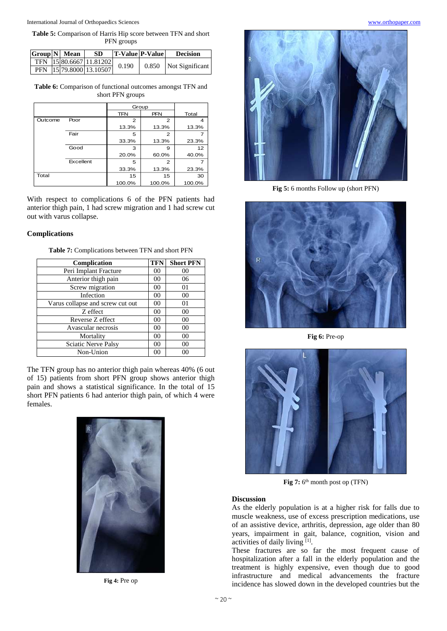**Table 5:** Comparison of Harris Hip score between TFN and short PFN groups

|  | $ Group N $ Mean | -SD                     | <b>T-Value P-Value</b> | <b>Decision</b>       |
|--|------------------|-------------------------|------------------------|-----------------------|
|  |                  | TFN 15 80.6667 11.81202 | 0.190                  | 0.850 Not Significant |
|  |                  | PFN 15 79.8000 13.10507 |                        |                       |

**Table 6:** Comparison of functional outcomes amongst TFN and short PFN groups

|         |           | Group      |            |        |
|---------|-----------|------------|------------|--------|
|         |           | <b>TFN</b> | <b>PFN</b> | Total  |
| Outcome | Poor      | 2          | 2          | 4      |
|         |           | 13.3%      | 13.3%      | 13.3%  |
|         | Fair      | 5          | 2          |        |
|         |           | 33.3%      | 13.3%      | 23.3%  |
|         | Good      | 3          | 9          | 12     |
|         |           | 20.0%      | 60.0%      | 40.0%  |
|         | Excellent | 5          | 2          |        |
|         |           | 33.3%      | 13.3%      | 23.3%  |
| Total   |           | 15         | 15         | 30     |
|         |           | 100.0%     | 100.0%     | 100.0% |

With respect to complications 6 of the PFN patients had anterior thigh pain, 1 had screw migration and 1 had screw cut out with varus collapse.

## **Complications**

| Complication                     | <b>TFN</b>     | <b>Short PFN</b> |
|----------------------------------|----------------|------------------|
| Peri Implant Fracture            | 00             | 00               |
| Anterior thigh pain              | 00             | 06               |
| Screw migration                  | 0 <sup>0</sup> | 01               |
| Infection                        | 0 <sup>0</sup> | 00               |
| Varus collapse and screw cut out | 00             | 01               |
| Z effect                         | 0 <sup>0</sup> | 00               |
| Reverse Z effect                 | 0 <sup>0</sup> | 00               |
| Avascular necrosis               | 00             | 0 <sup>0</sup>   |
| Mortality                        | 0 <sup>0</sup> | 00               |
| Sciatic Nerve Palsy              | 0 <sup>0</sup> | 00               |
| Non-Union                        | 00             | 00               |

**Table 7:** Complications between TFN and short PFN

The TFN group has no anterior thigh pain whereas 40% (6 out of 15) patients from short PFN group shows anterior thigh pain and shows a statistical significance. In the total of 15 short PFN patients 6 had anterior thigh pain, of which 4 were females.



**Fig 4:** Pre op



**Fig 5:** 6 months Follow up (short PFN)



**Fig 6:** Pre-op



Fig 7: 6<sup>th</sup> month post op (TFN)

# **Discussion**

As the elderly population is at a higher risk for falls due to muscle weakness, use of excess prescription medications, use of an assistive device, arthritis, depression, age older than 80 years, impairment in gait, balance, cognition, vision and activities of daily living [1] .

These fractures are so far the most frequent cause of hospitalization after a fall in the elderly population and the treatment is highly expensive, even though due to good infrastructure and medical advancements the fracture incidence has slowed down in the developed countries but the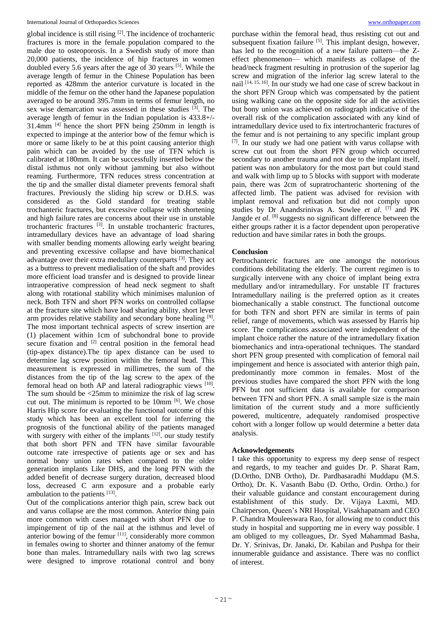#### International Journal of Orthopaedics Sciences [www.orthopaper.com](http://www.orthopaper.com/)

global incidence is still rising <sup>[2]</sup>. The incidence of trochanteric fractures is more in the female population compared to the male due to osteoporosis. In a Swedish study of more than 20,000 patients, the incidence of hip fractures in women doubled every 5.6 years after the age of 30 years <sup>[5]</sup>. While the average length of femur in the Chinese Population has been reported as 428mm the anterior curvature is located in the middle of the femur on the other hand the Japanese population averaged to be around 395.7mm in terms of femur length, no sex wise demarcation was assessed in these studies  $[3]$ . The average length of femur in the Indian population is 433.8+/- 31.4mm [4] hence the short PFN being 250mm in length is expected to impinge at the anterior bow of the femur which is more or same likely to be at this point causing anterior thigh pain which can be avoided by the use of TFN which is calibrated at 180mm. It can be successfully inserted below the distal isthmus not only without jamming but also without reaming. Furthermore, TFN reduces stress concentration at the tip and the smaller distal diameter prevents femoral shaft fractures. Previously the sliding hip screw or D.H.S. was considered as the Gold standard for treating stable trochanteric fractures, but excessive collapse with shortening and high failure rates are concerns about their use in unstable trochanteric fractures  $[3]$ . In unstable trochanteric fractures, intramedullary devices have an advantage of load sharing with smaller bending moments allowing early weight bearing and preventing excessive collapse and have biomechanical advantage over their extra medullary counterparts<sup>[3]</sup>. They act as a buttress to prevent medialisation of the shaft and provides more efficient load transfer and is designed to provide linear intraoperative compression of head neck segment to shaft along with rotational stability which minimises malunion of neck. Both TFN and short PFN works on controlled collapse at the fracture site which have load sharing ability, short lever arm provides relative stability and secondary bone healing [9]. The most important technical aspects of screw insertion are (1) placement within 1cm of subchondral bone to provide secure fixation and <sup>[2]</sup> central position in the femoral head (tip-apex distance).The tip apex distance can be used to determine lag screw position within the femoral head. This measurement is expressed in millimetres, the sum of the distances from the tip of the lag screw to the apex of the femoral head on both AP and lateral radiographic views [10]. The sum should be  $\leq 25$ mm to minimize the risk of lag screw cut out. The minimum is reported to be 10mm [6]. We chose Harris Hip score for evaluating the functional outcome of this study which has been an excellent tool for inferring the prognosis of the functional ability of the patients managed with surgery with either of the implants  $[12]$ . our study testify that both short PFN and TFN have similar favourable outcome rate irrespective of patients age or sex and has normal bony union rates when compared to the older generation implants Like DHS, and the long PFN with the added benefit of decrease surgery duration, decreased blood loss, decreased C arm exposure and a probable early ambulation to the patients [13].

Out of the complications anterior thigh pain, screw back out and varus collapse are the most common. Anterior thing pain more common with cases managed with short PFN due to impingement of tip of the nail at the isthmus and level of anterior bowing of the femur [11], considerably more common in females owing to shorter and thinner anatomy of the femur bone than males. Intramedullary nails with two lag screws were designed to improve rotational control and bony

purchase within the femoral head, thus resisting cut out and subsequent fixation failure <sup>[5]</sup>. This implant design, however, has led to the recognition of a new failure pattern—the Zeffect phenomenon— which manifests as collapse of the head/neck fragment resulting in protrusion of the superior lag screw and migration of the inferior lag screw lateral to the nail <a>[14, 15, 16]</a>. In our study we had one case of screw backout in the short PFN Group which was compensated by the patient using walking cane on the opposite side for all the activities but bony union was achieved on radiograph indicative of the overall risk of the complication associated with any kind of intramedullary device used to fix intertrochanteric fractures of the femur and is not pertaining to any specific implant group [7]. In our study we had one patient with varus collapse with screw cut out from the short PFN group which occurred secondary to another trauma and not due to the implant itself, patient was non ambulatory for the most part but could stand and walk with limp up to 5 blocks with support with moderate pain, there was 2cm of supratrochanteric shortening of the affected limb. The patient was advised for revision with implant removal and refixation but did not comply upon studies by Dr Anandsrinivas A. Sowlee *et al*. [7] and PK Jangde et al. [8] suggests no significant difference between the either groups rather it is a factor dependent upon peroperative reduction and have similar rates in both the groups.

# **Conclusion**

Pertrochanteric fractures are one amongst the notorious conditions debilitating the elderly. The current regimen is to surgically intervene with any choice of implant being extra medullary and/or intramedullary. For unstable IT fractures Intramedullary nailing is the preferred option as it creates biomechanically a stable construct. The functional outcome for both TFN and short PFN are similar in terms of pain relief, range of movements, which was assessed by Harris hip score. The complications associated were independent of the implant choice rather the nature of the intramedullary fixation biomechanics and intra-operational techniques. The standard short PFN group presented with complication of femoral nail impingement and hence is associated with anterior thigh pain, predominantly more common in females. Most of the previous studies have compared the short PFN with the long PFN but not sufficient data is available for comparison between TFN and short PFN. A small sample size is the main limitation of the current study and a more sufficiently powered, multicentre, adequately randomised prospective cohort with a longer follow up would determine a better data analysis.

### **Acknowledgements**

I take this opportunity to express my deep sense of respect and regards, to my teacher and guides Dr. P. Sharat Ram, (D.Ortho, DNB Ortho), Dr. Pardhasaradhi Muddapu (M.S. Ortho), Dr. K. Vasanth Babu (D. Ortho, Ordin. Ortho.) for their valuable guidance and constant encouragement during establishment of this study. Dr. Vijaya Laxmi, MD. Chairperson, Queen's NRI Hospital, Visakhapatnam and CEO P. Chandra Mouleeswara Rao, for allowing me to conduct this study in hospital and supporting me in every way possible. I am obliged to my colleagues, Dr. Syed Mahammad Basha, Dr. Y. Srinivas, Dr. Janaki, Dr. Kabilan and Pushpa for their innumerable guidance and assistance. There was no conflict of interest.